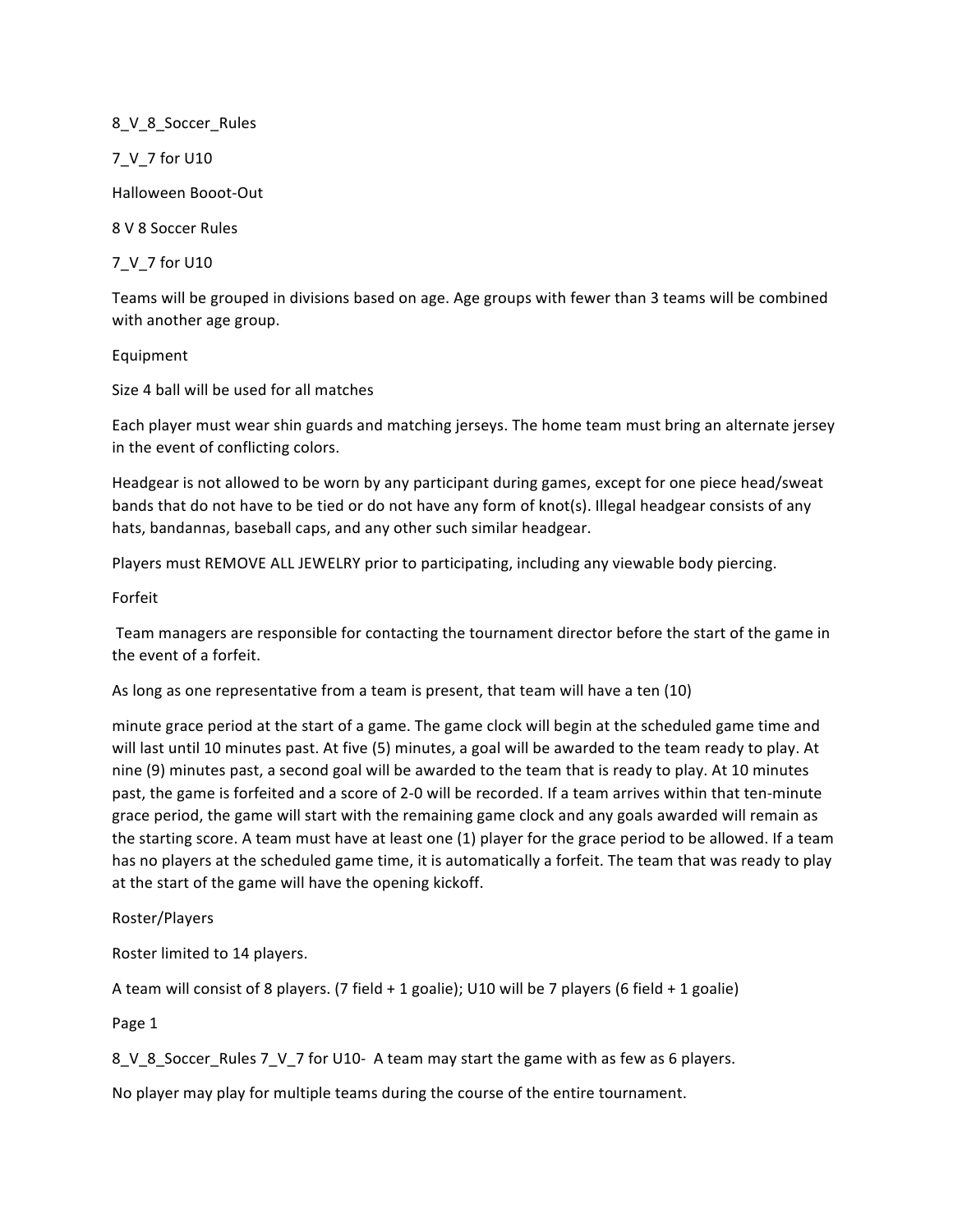# 8\_V\_8\_Soccer\_Rules

7\_V\_7 for U10

Halloween Booot-Out

8 V 8 Soccer Rules 

7\_V\_7 for U10

Teams will be grouped in divisions based on age. Age groups with fewer than 3 teams will be combined with another age group.

## Equipment

Size 4 ball will be used for all matches

Each player must wear shin guards and matching jerseys. The home team must bring an alternate jersey in the event of conflicting colors.

Headgear is not allowed to be worn by any participant during games, except for one piece head/sweat bands that do not have to be tied or do not have any form of knot(s). Illegal headgear consists of any hats, bandannas, baseball caps, and any other such similar headgear.

Players must REMOVE ALL JEWELRY prior to participating, including any viewable body piercing.

Forfeit 

Team managers are responsible for contacting the tournament director before the start of the game in the event of a forfeit.

As long as one representative from a team is present, that team will have a ten (10)

minute grace period at the start of a game. The game clock will begin at the scheduled game time and will last until 10 minutes past. At five (5) minutes, a goal will be awarded to the team ready to play. At nine (9) minutes past, a second goal will be awarded to the team that is ready to play. At 10 minutes past, the game is forfeited and a score of 2-0 will be recorded. If a team arrives within that ten-minute grace period, the game will start with the remaining game clock and any goals awarded will remain as the starting score. A team must have at least one (1) player for the grace period to be allowed. If a team has no players at the scheduled game time, it is automatically a forfeit. The team that was ready to play at the start of the game will have the opening kickoff.

Roster/Players 

Roster limited to 14 players.

A team will consist of 8 players. (7 field + 1 goalie); U10 will be 7 players (6 field + 1 goalie)

Page 1

8\_V\_8\_Soccer\_Rules 7\_V\_7 for U10- A team may start the game with as few as 6 players.

No player may play for multiple teams during the course of the entire tournament.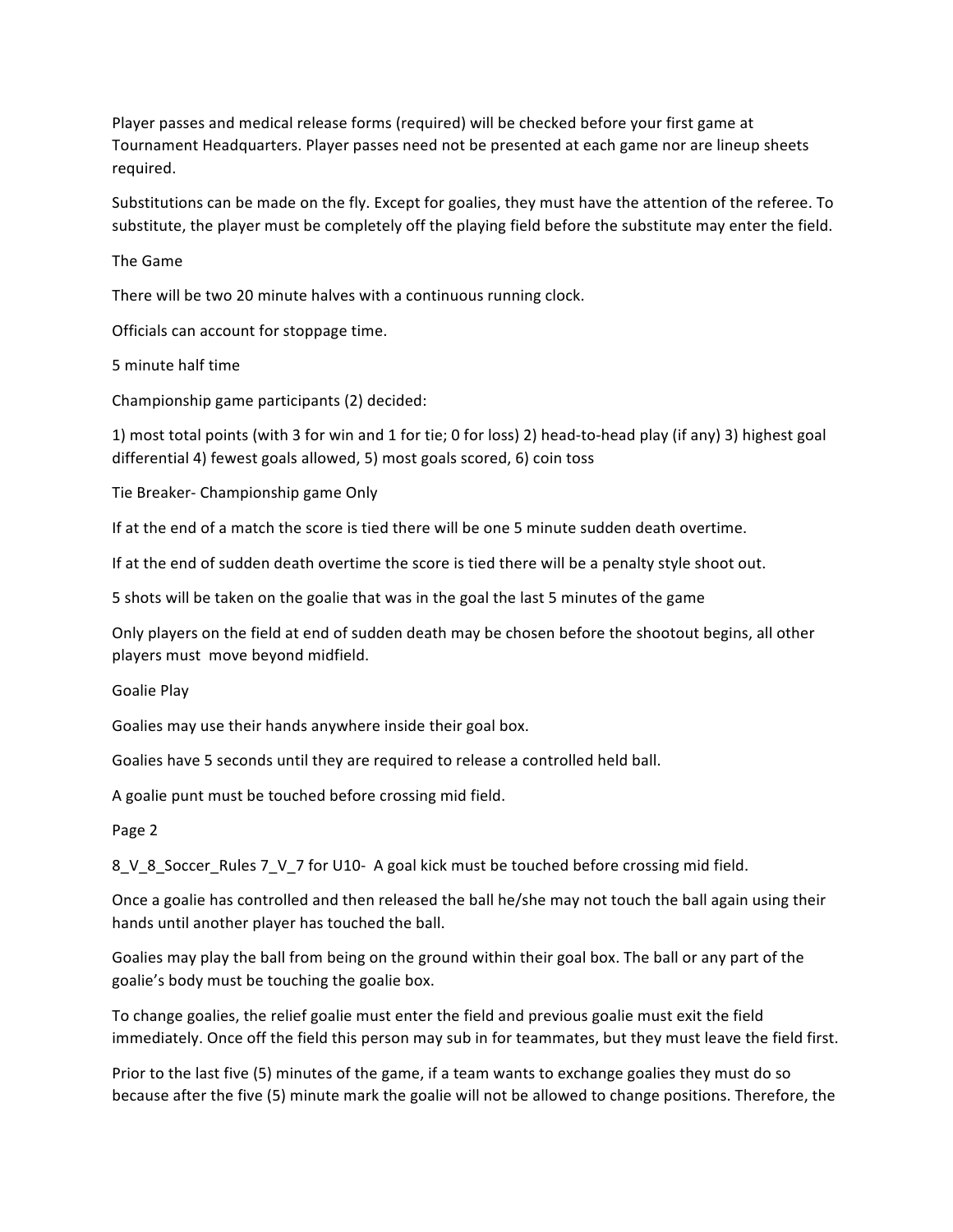Player passes and medical release forms (required) will be checked before your first game at Tournament Headquarters. Player passes need not be presented at each game nor are lineup sheets required.

Substitutions can be made on the fly. Except for goalies, they must have the attention of the referee. To substitute, the player must be completely off the playing field before the substitute may enter the field.

The Game 

There will be two 20 minute halves with a continuous running clock.

Officials can account for stoppage time.

5 minute half time 

Championship game participants (2) decided:

1) most total points (with 3 for win and 1 for tie; 0 for loss) 2) head-to-head play (if any) 3) highest goal differential 4) fewest goals allowed, 5) most goals scored, 6) coin toss

Tie Breaker- Championship game Only

If at the end of a match the score is tied there will be one 5 minute sudden death overtime.

If at the end of sudden death overtime the score is tied there will be a penalty style shoot out.

5 shots will be taken on the goalie that was in the goal the last 5 minutes of the game

Only players on the field at end of sudden death may be chosen before the shootout begins, all other players must move beyond midfield.

Goalie Play

Goalies may use their hands anywhere inside their goal box.

Goalies have 5 seconds until they are required to release a controlled held ball.

A goalie punt must be touched before crossing mid field.

Page 2

8\_V\_8\_Soccer\_Rules 7\_V\_7 for U10- A goal kick must be touched before crossing mid field.

Once a goalie has controlled and then released the ball he/she may not touch the ball again using their hands until another player has touched the ball.

Goalies may play the ball from being on the ground within their goal box. The ball or any part of the goalie's body must be touching the goalie box.

To change goalies, the relief goalie must enter the field and previous goalie must exit the field immediately. Once off the field this person may sub in for teammates, but they must leave the field first.

Prior to the last five (5) minutes of the game, if a team wants to exchange goalies they must do so because after the five (5) minute mark the goalie will not be allowed to change positions. Therefore, the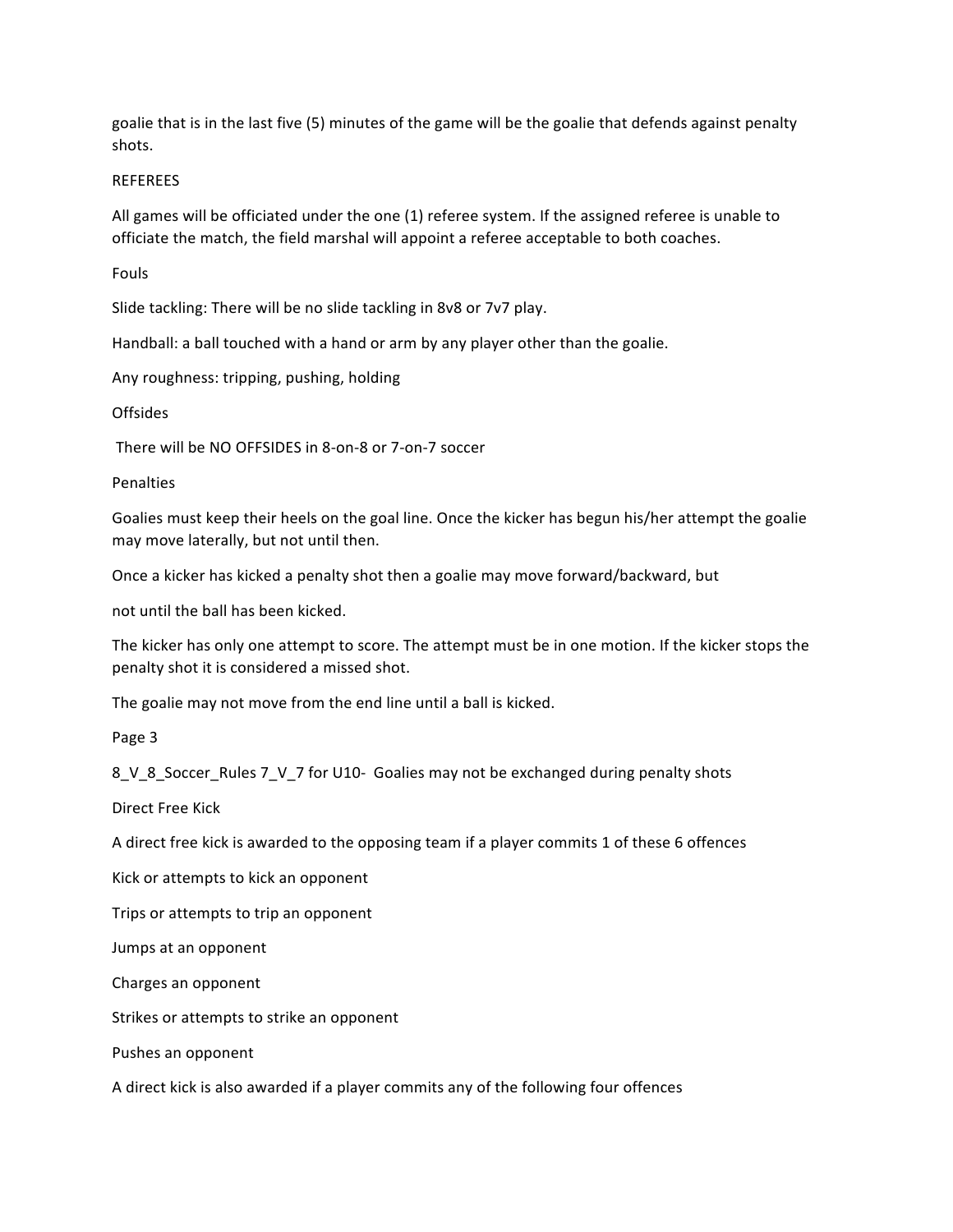goalie that is in the last five (5) minutes of the game will be the goalie that defends against penalty shots. 

#### REFEREES

All games will be officiated under the one (1) referee system. If the assigned referee is unable to officiate the match, the field marshal will appoint a referee acceptable to both coaches.

Fouls 

Slide tackling: There will be no slide tackling in 8v8 or 7v7 play.

Handball: a ball touched with a hand or arm by any player other than the goalie.

Any roughness: tripping, pushing, holding

Offsides 

There will be NO OFFSIDES in 8-on-8 or 7-on-7 soccer

Penalties 

Goalies must keep their heels on the goal line. Once the kicker has begun his/her attempt the goalie may move laterally, but not until then.

Once a kicker has kicked a penalty shot then a goalie may move forward/backward, but

not until the ball has been kicked.

The kicker has only one attempt to score. The attempt must be in one motion. If the kicker stops the penalty shot it is considered a missed shot.

The goalie may not move from the end line until a ball is kicked.

Page 3

8\_V\_8\_Soccer\_Rules 7\_V\_7 for U10- Goalies may not be exchanged during penalty shots

Direct Free Kick 

A direct free kick is awarded to the opposing team if a player commits 1 of these 6 offences

Kick or attempts to kick an opponent

Trips or attempts to trip an opponent

Jumps at an opponent

Charges an opponent

Strikes or attempts to strike an opponent

Pushes an opponent

A direct kick is also awarded if a player commits any of the following four offences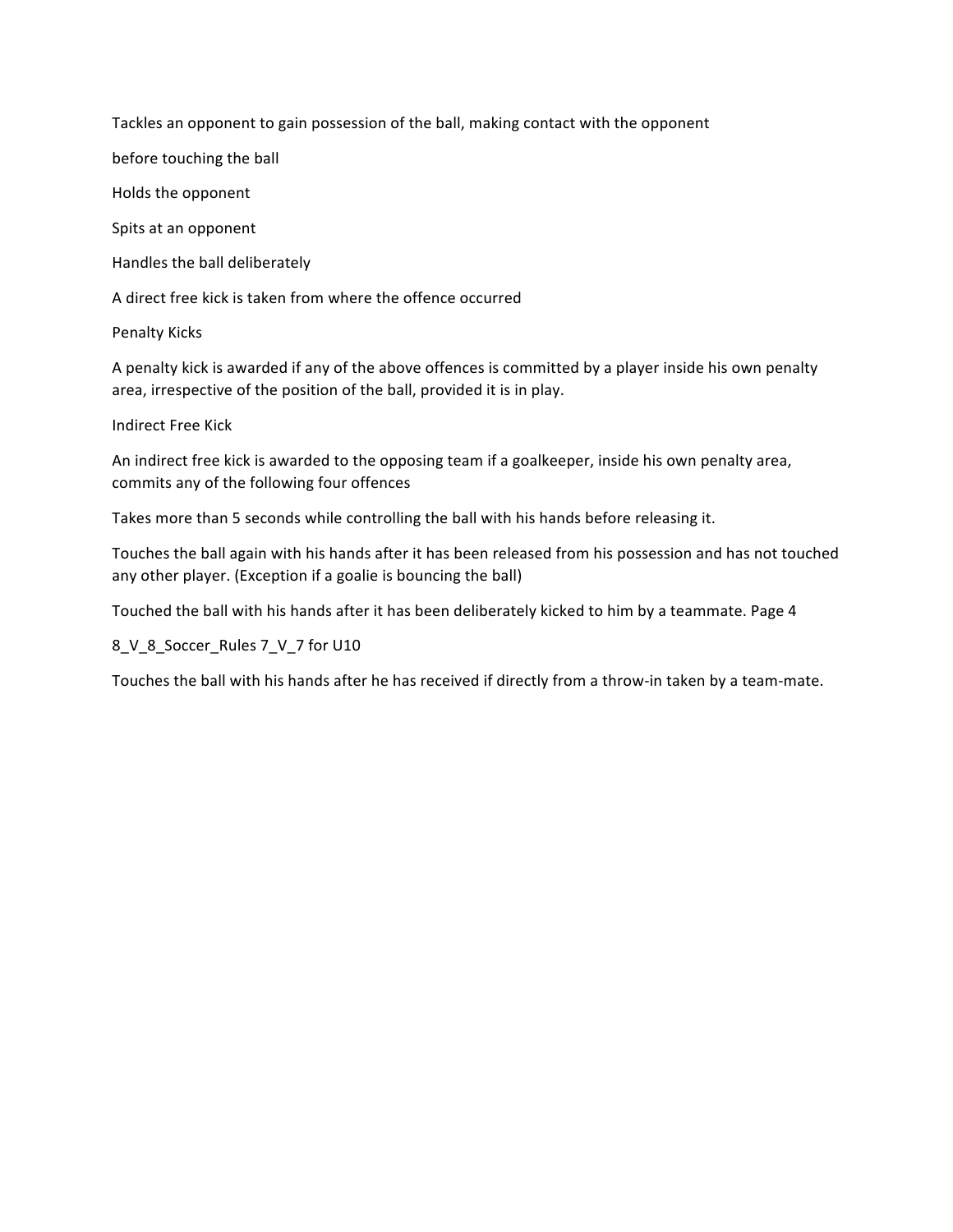Tackles an opponent to gain possession of the ball, making contact with the opponent

before touching the ball

Holds the opponent

Spits at an opponent

Handles the ball deliberately

A direct free kick is taken from where the offence occurred

Penalty Kicks

A penalty kick is awarded if any of the above offences is committed by a player inside his own penalty area, irrespective of the position of the ball, provided it is in play.

Indirect Free Kick 

An indirect free kick is awarded to the opposing team if a goalkeeper, inside his own penalty area, commits any of the following four offences

Takes more than 5 seconds while controlling the ball with his hands before releasing it.

Touches the ball again with his hands after it has been released from his possession and has not touched any other player. (Exception if a goalie is bouncing the ball)

Touched the ball with his hands after it has been deliberately kicked to him by a teammate. Page 4

8\_V\_8\_Soccer\_Rules 7\_V\_7 for U10

Touches the ball with his hands after he has received if directly from a throw-in taken by a team-mate.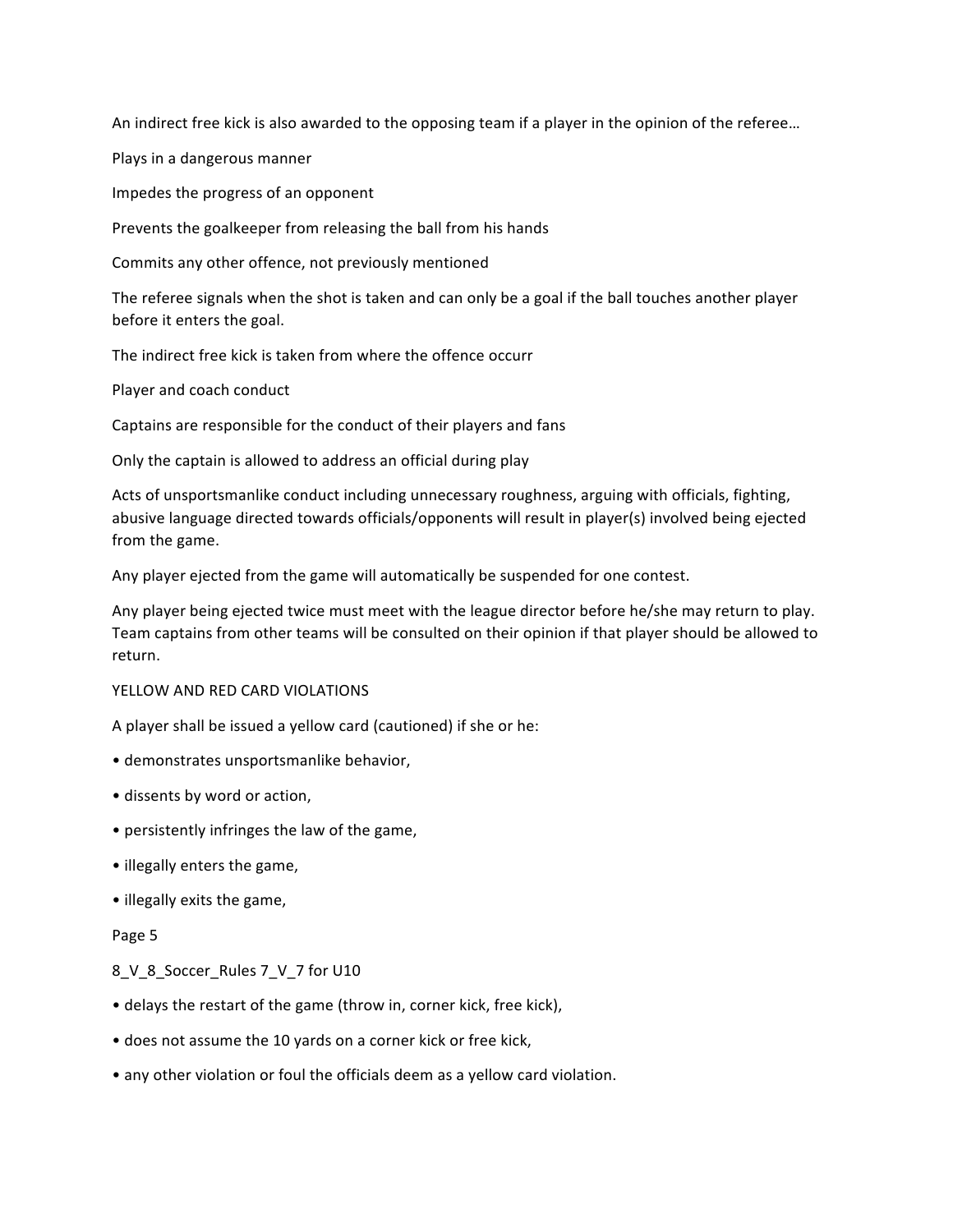An indirect free kick is also awarded to the opposing team if a player in the opinion of the referee...

Plays in a dangerous manner

Impedes the progress of an opponent

Prevents the goalkeeper from releasing the ball from his hands

Commits any other offence, not previously mentioned

The referee signals when the shot is taken and can only be a goal if the ball touches another player before it enters the goal.

The indirect free kick is taken from where the offence occurr

Player and coach conduct

Captains are responsible for the conduct of their players and fans

Only the captain is allowed to address an official during play

Acts of unsportsmanlike conduct including unnecessary roughness, arguing with officials, fighting, abusive language directed towards officials/opponents will result in player(s) involved being ejected from the game.

Any player ejected from the game will automatically be suspended for one contest.

Any player being ejected twice must meet with the league director before he/she may return to play. Team captains from other teams will be consulted on their opinion if that player should be allowed to return. 

#### YELLOW AND RED CARD VIOLATIONS

A player shall be issued a yellow card (cautioned) if she or he:

- demonstrates unsportsmanlike behavior,
- dissents by word or action,
- persistently infringes the law of the game,
- illegally enters the game,
- illegally exits the game,

#### Page 5

## 8 V 8 Soccer Rules 7 V 7 for U10

- delays the restart of the game (throw in, corner kick, free kick),
- does not assume the 10 yards on a corner kick or free kick,
- any other violation or foul the officials deem as a yellow card violation.